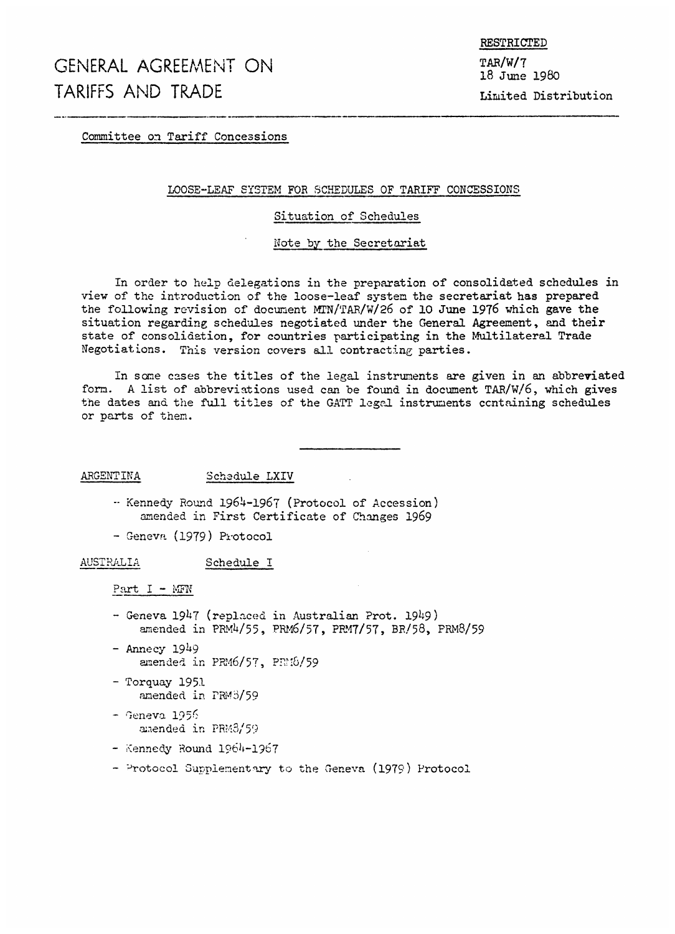Committee on Tariff Concessions

#### LOOSE-LEAF SYSTEM FOR SCHEDULES OF TARIFF CONCESSIONS

#### Situation of Schedules

#### Note by the Secretariat

In order to help delegations in the preparation of consolidated schedules in view of the introduction of the loose-leaf system the secretariat has prepared the following revision of document MTN/TAR/W/26 of 10 June 1976 which gave the situation regarding schedules negotiated under the General Agreement, and their state of consolidation, for countries participating in the Multilateral Trade Negotiations. This version covers all contracting parties.

In some cases the titles of the legal instruments are given in an abbreviated form. A list of abbreviations used can be found in document TAR/W/6, which gives the dates and the full titles of the GATT legal instruments containing schedules or parts of then.

ARGENTINA Schedule LXIV

- -- Kennedy Round 1964-1967 (Protocol of Accession) amended in First Certificate of Changes 1969
- Geneva (1979) Protocol

AUSTRALIA Schedule I

Part  $I - MFW$ 

- Geneva 1947 (replaced in Australian Prot. 1949) amended in PRM4/55, PRM6/57, PRM7/57, BR/58, PRM8/59
- Annecy 1949 amended in  $PRM6/57$ ,  $PRM6/59$
- Torquay 1951 amended in PRM3/59
- Geneva 1956 amended in PRM3/59
- Kennedy Round 1964-1967
- Protocol Supplementary to the Geneva (1979) Protocol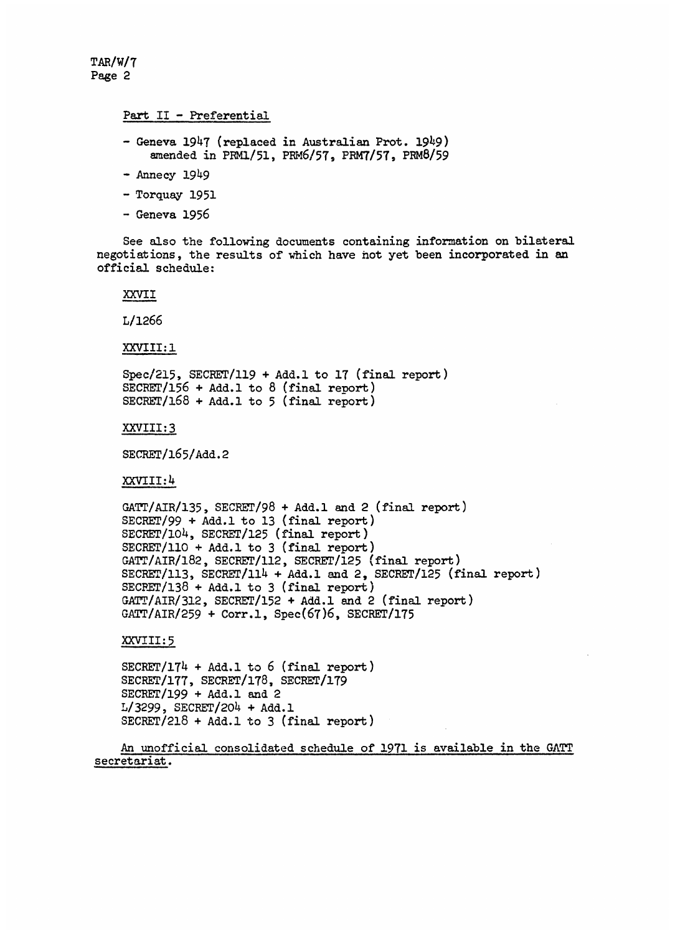TAR/WIT Page 2

#### Part II - Preferential

- Geneva 1947 (replaced in Australian Prot. 1949) amended in PRM1/51, PRM6/57, PRM7/57, PRM8/59
- Annecy 1949
- Torquay 1951
- Geneva 1956

See also the following documents containing information on bilateral negotiations, the results of which have not yet been incorporated in an official schedule:

XXVII

L/1266

XXVIII: 1

Spec/215, SECBET/119 + Add.1 to 17 (final report) SECRET/156 + Add.1 to 8 (final report) SECRET/168 + Add.1 to 5 (final report)

XXVIII:3

SECRET/165/Add. 2

XXVIII:4

GATT/AIR/135, SECRET/98 + Add.1 and 2 (final report) SECRET/99 + Add.1 to 13 (final report) SECRET/1o4, SECRET/125 (final report)  $SECTION + Add.1$  to 3 (final report) GATT/AIR/182, SECRET/112, SECRET/125 (final report) SECRET/113, SECRET/114 + Add.1 and 2, SECRET/125 (final report) SECPET/138 + Add.l to 3 (final report) GATT/AIR/312, SECRET/152 + Add.l and 2 (final report)  $GATT/AIR/259 + Corr.1, Spec(67)6, SECRET/175$ 

XXVIII: 5

SECRET/174 + Add.l to 6 (final report) SECRET/177, SECRET/178, SECRET/179 SECRET/199 + Add.l and 2 L/3299, SECRET/204 + Add.l SECRET/218 + Add.l to 3 (final report)

An unofficial consolidated schedule of 1971 is available in the GATT secretariat.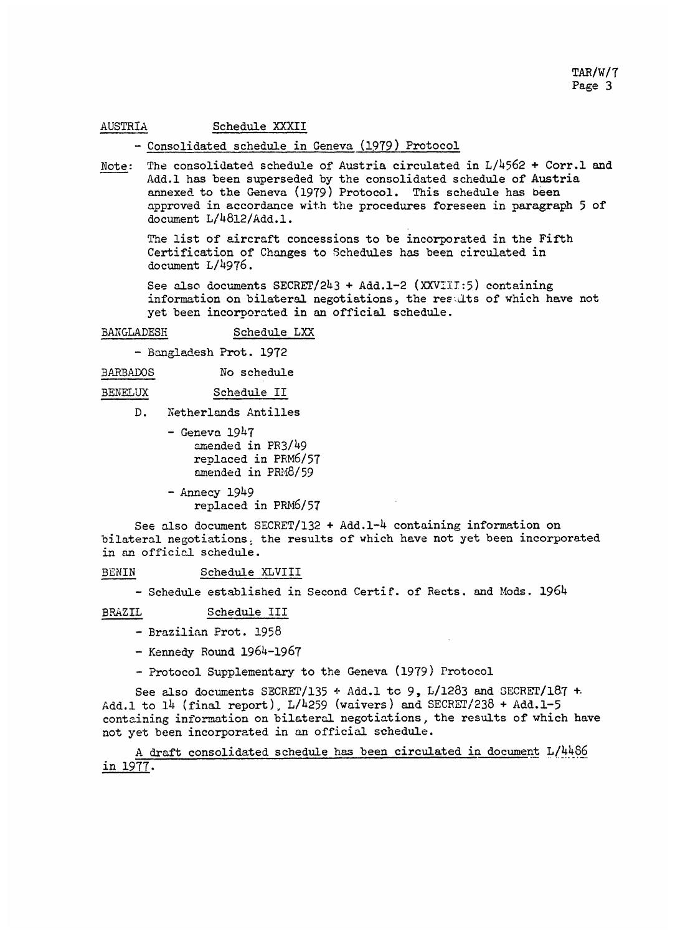#### AUSTRIA Schedule XXXII

## - Consolidated schedule in Geneva (1979) Protocol

Note: The consolidated schedule of Austria circulated in L/4562 + Corr.l and Add.l has been superseded by the consolidated schedule of Austria annexed to the Geneva (1979) Protocol. This schedule has been approved in accordance with the procedures foreseen in paragraph <sup>5</sup> of document L/4812/Add.l.

The list of aircraft concessions to be incorporated in the Fifth Certification of Changes to Schedules has been circulated in document L/4976.

See also documents SECRET/243 + Add.1-2 (XXVIII:5) containing information on bilateral negotiations, the results of which have not yet been incorporated in an official schedule.

#### BANGLADESH Schedule LXX

- Bangladesh Prot. 1972

BARBADOS No schedule

#### BENELUX Schedule II

- D. Netherlands Antilles
	- $-$  Geneva 1947 amended in PR3/49 replaced in PRM6/57 amended in  $PRM8/59$

- Annecy 1949 replaced in PRM6/57

See also document SECRET/132 + Add.1-4 containing information on bilateral negotiations. the results of which have not yet been incorporated in an official schedule.

BENIN Schedule XLVIII

- Schedule established in Second Certif. of Rects. and Mods. 1964

BRAZIL Schedule III

- Brazilian Prot. 1958
- Kennedy Round 1964-1967
- Protocol Supplementary to the Geneva (1979) Protocol

See also documents SECRET/135  $\div$  Add.1 to 9, L/1283 and SECRET/187  $\pm$ Add.l to 14 (final report), L/4259 (waivers) and SECRET/238 + Add.1-5 containing information on bilateral negotiations, the results of which have not yet been incorporated in an official schedule.

A draft consolidated schedule has been circulated in document L/4486 in 1977.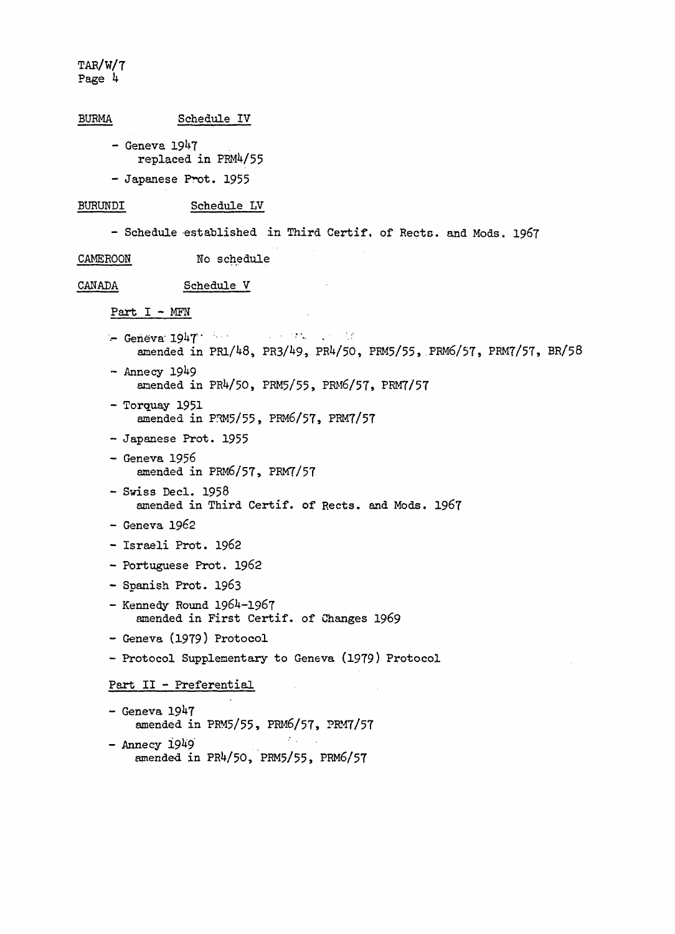```
BURMA Schedule IV
     - Geneva 1947
          replaced in PRM4/55
     - Japanese Prot. 1955
BURUNDI Schedule LV
     - Schedule established in Third Certif. of Rects. and Mods. 1967
CAMEROON No schedule
CANADA Schedule V
     Part I - MEN
     - Geneva 1947\label{eq:2.1} \mathcal{L}_{\mathcal{A}}(x) = \mathcal{L}_{\mathcal{A}}(x) \mathcal{L}_{\mathcal{A}}(x) = \mathcal{L}_{\mathcal{A}}(x) \mathcal{L}_{\mathcal{A}}(x)amended in PR1/48, PR3/49, PR4/50, PRM5/55, PRM6/57, PRM7/57, BR/58
     - Annecy 1949
          amended in PR4/50, PRM5/55, PRM6/57, PRM7/57
     - Torquay 1951
          amended in PRM5/55, PRM6/57, PRM7/57
     - Japanese Prot. 1955
     - Geneva 1956
          amended in PRM6/57, PRM7/57
     - Swiss Decl. 1958
          amended in Third Certif. of Rects. and Mods. 1967
     - Geneva 1962
     - Israeli Prot. 1962
     - Portuguese Prot. 1962
     - Spanish Prot. 1963
     - Kennedy Round 1964-1967
          amended in First Certif. of Changes 1969
     - Geneva (1979) Protocol
     - Protocol Supplementary to Geneva (1979) Protocol
     Part II - Preferential
     - Geneva 1947
          amended in PRM5/55, PRM6/57, PRM7/57
     - Annecy 1949
         amended in PR4/50, PRM5/55, PRM6/57
```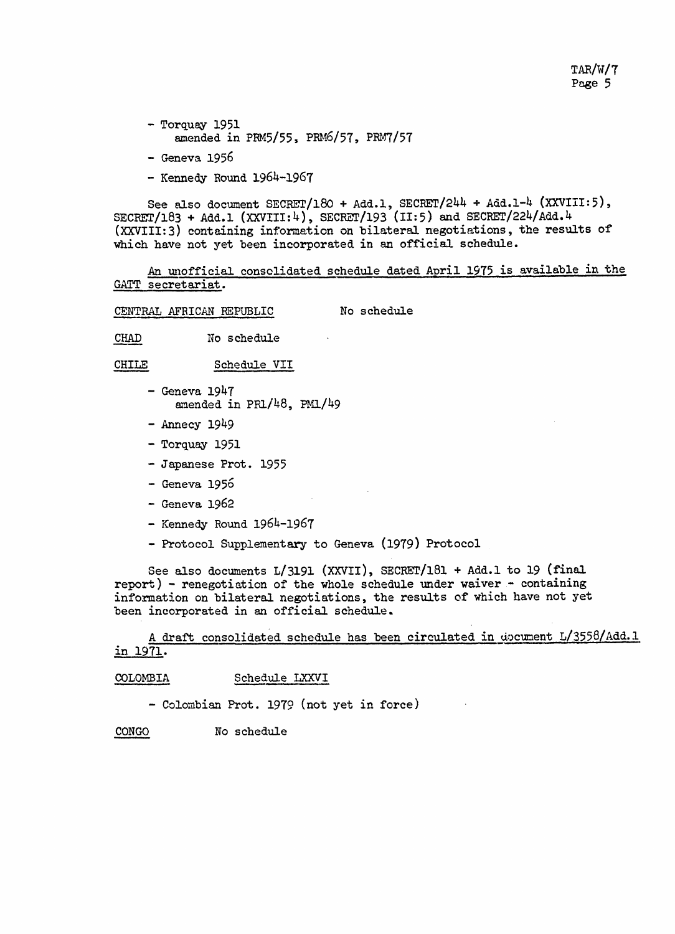- Torquay 1951 amended in PRM5/55, PRM6/57, PRM7/57
- Geneva 1956
- Kennedy Round 1964-1967

See also document SECRET/180 + Add.1, SECRET/244 + Add.1-4 (XXVIII:5),  $\texttt{SCRET}/183$  + Add.l (XXVIII:4), SECRET/193 (II:5) and SECRET/224/Add.4 (XXVIII:3) containing information on bilateral negotiations, the results of which have not yet been incorporated in an official schedule.

An unofficial consolidated schedule dated April 1975 is available in the GATT secretariat.

CENTRAL AFRICAN REPUBLIC No schedule

CHAD No schedule

CHILE Schedule VII

- $-$  Geneva  $1947$ amended in PR1/48, PMl/49
- Annecy 1949
- Torquay 1951
- Japanese Prot. 1955
- $-$  Geneva 1956
- Geneva 1962
- Kennedy Round 1964-1967
- Protocol Supplementary to Geneva (1979) Protocol

See also documents L/3191 (XXVII), SECRET/181 + Add.1 to 19 (final  $report$ ) - renegotiation of the whole schedule under waiver - containing information on bilateral negotiations, the results of which have not yet been incorporated in an official schedule.

A draft consolidated schedule has been circulated in document L/3558/Add.1 in 1971.

COLOMBIA Schedule LXXVI

- Colombian Prot. 1979 (not yet in force)

CONGO No schedule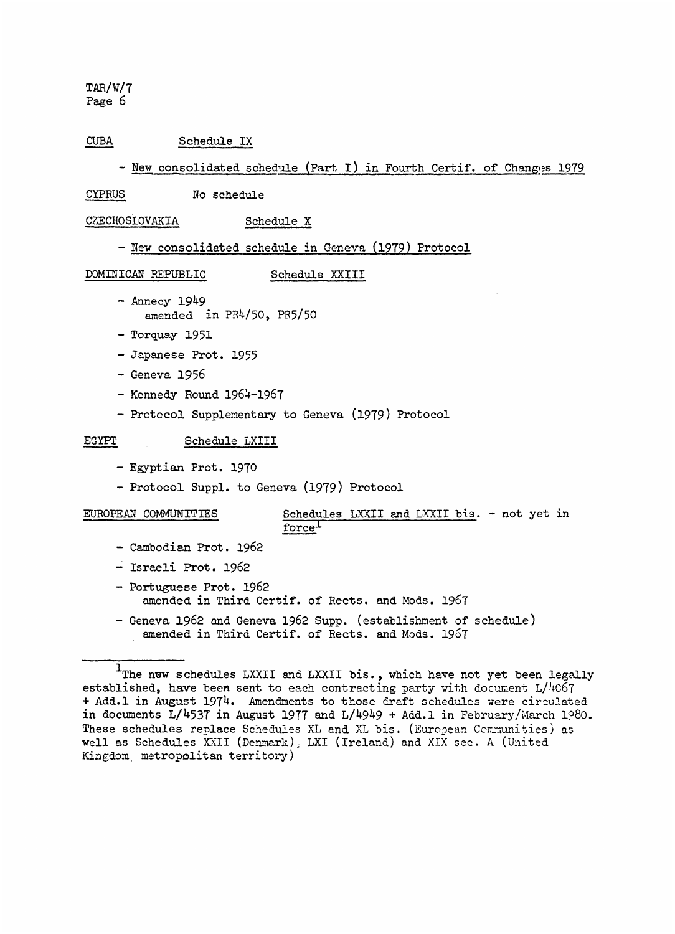## CUBA Schedule IX

- New consolidated schedule (Part I) in Fourth Certif. of Changes 1979

CYPRUS No schedule

CZECHOSLOVAKIA Schedule X

- New consolidated schedule in Geneva (1979) Protocol

DOMINICAN REPUBLIC Schedule XXIII

- Annecy 1949 amended in PR4/50, PR5/50
- Torquay 1951
- Japanese Prot. 1955
- Geneva 1956
- Kennedy Round 1964-1967
- Protocol Supplementary to Geneva (1979) Protocol

#### EGYPT Schedule LXIII

- Egyptian Prot. 1970
- Protocol Suppl. to Geneva (1979) Protocol

## EUROPEAN COMMUNITIES Schedules LXXII and LXXII bis. - not yet in force<sup>1</sup>

- Cambodian Prot. 1962
- Israeli Prot. 1962
- Portuguese Prot. 1962 amended in Third Certif. of Rects. and Mods. 1967
- Geneva 1962 and Geneva 1962 Supp. (establishment of schedule) amended in Third Certif. of Rects. and Mods. 1967

<sup>&#</sup>x27;The new schedules LXXII and LXXII bis., which have not yet been legally established, have been sent to each contracting party with document  $L/4067$ + Add.1 in August 1974. Amendments to those draft schedules were circulated in documents  $L/4537$  in August 1977 and  $L/4949 +$  Add.1 in February/March 1980. These schedules replace Schedules XL and XL bis. (European Communities) as well as Schedules XXII (Denmark), LXI (Ireland) and XIX sec. A (United Kingdom. metropolitan territory)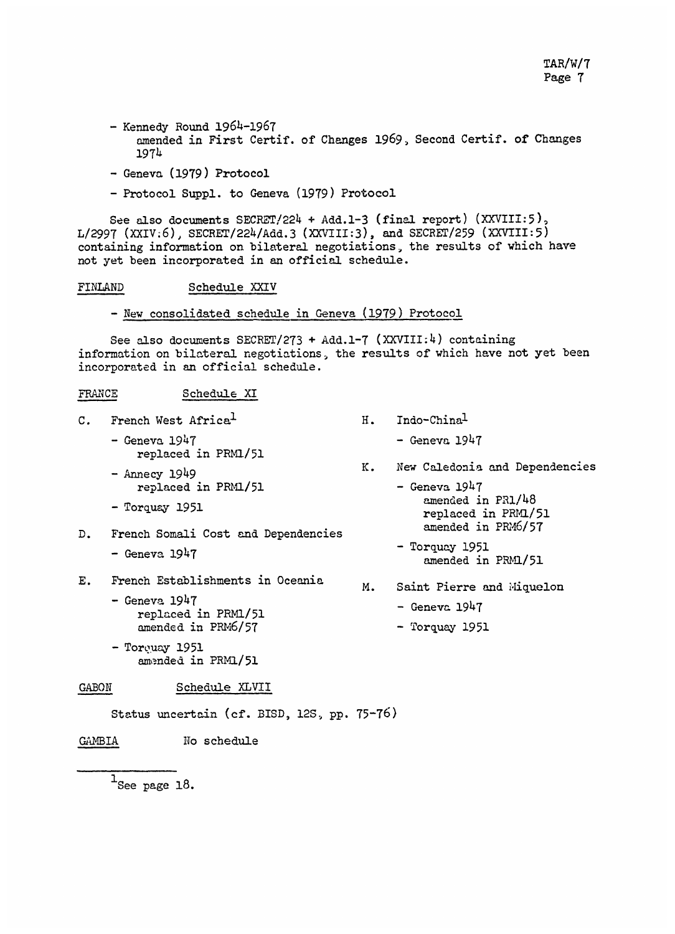- Kennedy Round 1964-1967 amended in First Certif. of Changes 1969., Second Certif. of Changes 1974
- Geneva (1979) Protocol
- Protocol Suppl. to Geneva (1979) Protocol

See also documents SECRET/224 + Add.1-3 (final report) (XXVIII:5),  $L/2997$  (XXIV.6), SECRET/224/Add.3 (XXVIII:3), and SECRET/259 (XXVIII:5) containing information on bilateral negotiations, the results of which have not yet been incorporated in an official schedule.

FINLAND Schedule XXIV

- New consolidated schedule in Geneva (1979) Protocol

See also documents SECRET/273 + Add.1-7 (XXVIII:4) containing information on bilateral negotiations, the results of which have not yet been incorporated in an official schedule.

## FRANCE Schedule XI

- C. French West Africa<sup>1</sup>
	- Geneva 1947 replaced in PRM1/51
	- $-$  Annecy 1949 replaced in PRM1/51
	- Torquay 1951
- D. French Somali Cost and Dependencies  $-$  Geneva 1947
- E. French Establishments in Oceania
	- Geneva 1947 replaced in PRM1/51 amended in PRM6/57
	- Torquay 1951 amended in PRM1/51

## GABON Schedule XLVII

Status uncertain (cf. BISD, 12S., pp. 75-76)

GAMBIA No schedule

 $1$ See page 18.

- H. Indo-Chinal
	- $-$  Geneva 1947
- K. New Caledonia and Dependencies
	- Geneva 1947 amended in PRi/48 replaced in PRM1/51 amended in PRM6/57
	- Torquay 1951 amended in PRM1/51
- M. Saint Pierre and Miquelon

 $-$  Geneva 1947

- Torquay 1951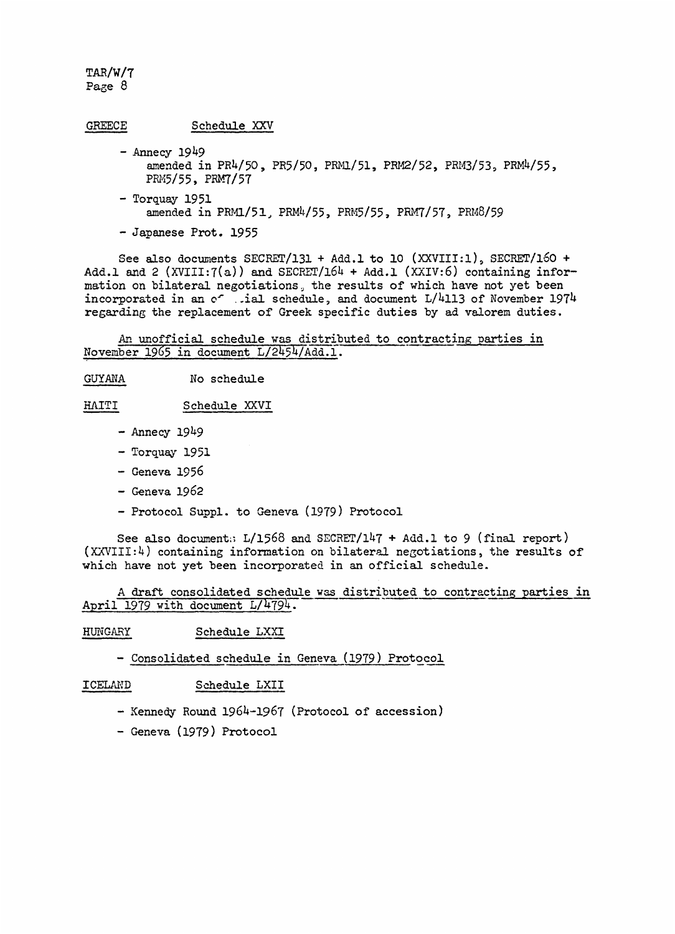| <b>GREECE</b> | Schedule XXV                                                                                          |  |  |
|---------------|-------------------------------------------------------------------------------------------------------|--|--|
|               | $-$ Annecy 1949<br>amended in PR4/50, PR5/50, PRM1/51, PRM2/52, PRM3/53, PRM4/55,<br>PRM5/55, PRM7/57 |  |  |

- Torquay 1951 amended in PRM1/51, PRM4/55, PRM5/55, PRM7/57, PRM8/59
- Japanese Prot. 1955

See also documents SECRET/131 + Add.1 to 10 (XXVIII:1), SECRET/160 + Add.l and 2 (XVIII: $7(a)$ ) and SECRET/164 + Add.l (XXIV:6) containing information on bilateral negotiations., the results of which have not yet been incorporated in an of .ial schedule, and document L/4113 of November 1974 regarding the replacement of Greek specific duties by ad valorem duties.

An unofficial schedule was distributed to contracting parties in November 1965 in document L/2454/Add.l.

GUYANA No schedule

HAITI Schedule XXVI

- $-$  Annecy 1949
- Torquay 1951
- Geneva 1956
- Geneva 1962
- Protocol Suppl. to Geneva (1979) Protocol

See also document:;  $L/1568$  and SECRET/147 + Add.1 to 9 (final report)  $(XXVIII:4)$  containing information on bilateral negotiations, the results of which have not yet been incorporated in an official schedule.

A draft consolidated schedule was distributed to contracting parties in April 1979 with document L/4794.

## HUNGARY Schedule LXXI

## - Consolidated schedule in Geneva (1979) Protocol

ICELATD Schedule LXII

- Kennedy Round 1964-1967 (Protocol of accession)
- Geneva (1979) Protocol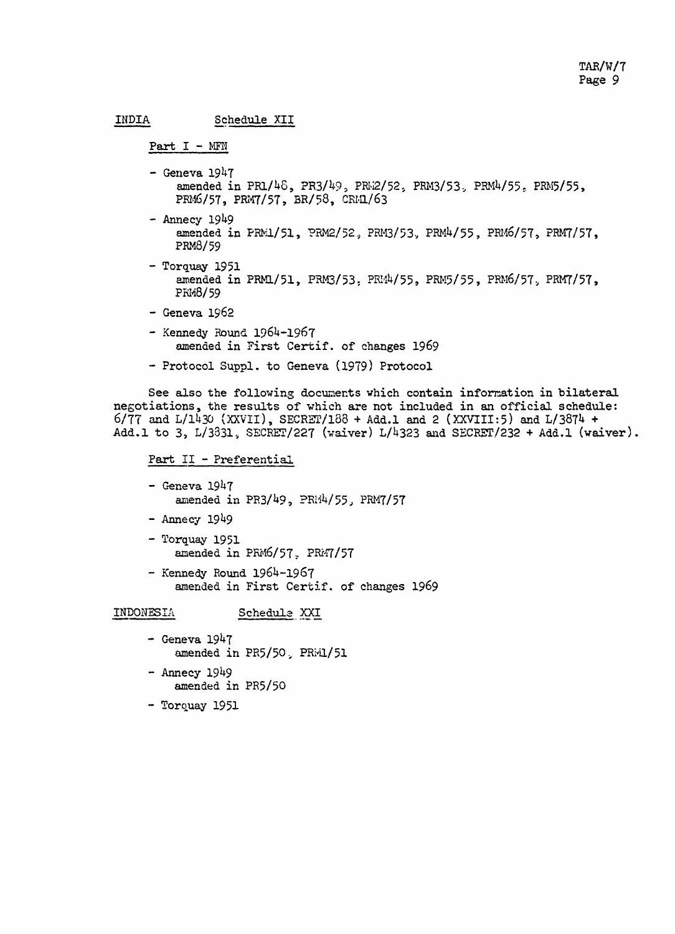```
INDIA Schedule XII
```

```
Part I - MFN
```
- $-$  Geneva 1947 amended in PR1/48, PR3/49, PRW2/52, PRM3/53, PRM4/55, PRM5/55, PRM6/57, PRM7/57, BR/58, CRM1/63
- Annecy 1949 amended in PRM1/51, PRM2/52, PRM3/53, PRM4/55, PRM6/57, PRM7/57, PRM8/59
- Torquay 1951 amended in PRM1/51, PRM3/53, PRM4/55, PRM5/55, PRM6/57, PRM7/57, PRM8/59
- Geneva 1962
- Kennedy Round 1964-1967 amended in First Certif. of changes 1969
- Protocol Suppl. to Geneva (1979) Protocol

See also the following documents which contain information in bilateral negotiations, the results of which are not included in an official schedule:  $6/77$  and  $L/1430$  (XXVII), SECRET/188 + Add.1 and 2 (XXVIII:5) and  $L/3874$  + Add.1 to 3, L/3331., SECRET/227 (waiver) L/4323 and SECRET/232 + Add.1 (waiver).

```
Part II - Preferential
```
- $-$  Geneva  $1947$ amended in  $PR3/49$ ,  $PR14/55$ ,  $PRM7/57$
- Annecy 1949
- Torquay 1951 amended in PRM6/57. PRM7/57
- Kennedy Round 1964-1967 amended in First Certif. of changes 1969

## INDONESIA Schedule XXI

- $-$  Geneva 1947 amended in PR5/50, PRW1/51
- $-$  Annecy 1949 amended in PR5/50
- Torquay 1951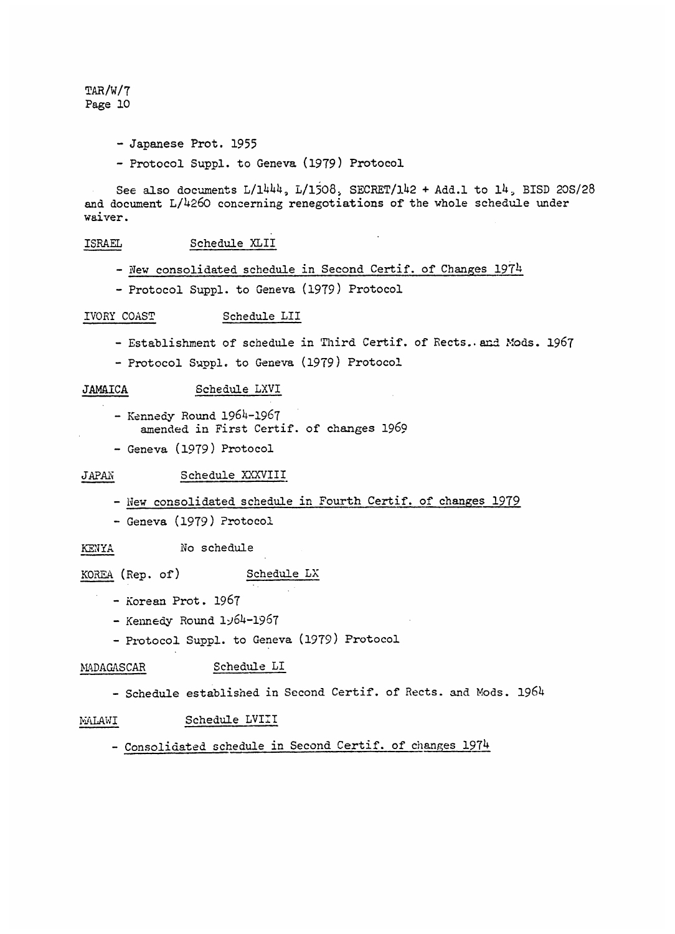- Japanese Prot. 1955
- Protocol Suppl. to Geneva (1979) Protocol

See also documents  $L/1444$ ,  $L/1508$ , SECRET/142 + Add.1 to 14, BISD 20S/28 and document L/4260 concerning renegotiations of the whole schedule under waiver.

#### ISRAEL Schedule XLII

- New consolidated schedule in Second Certif. of Changes 1974
- Protocol Suppl. to Geneva (1979) Protocol

#### IVORY COAST Schedule LII

- Establishment of schedule in Third Certif. of Rects. and Mods. 1967
- Protocol Suppl. to Geneva (1979) Protocol

#### JAMAICA Schedule LXVI

- Kennedy Round 1964-1967 amended in First Certif. of changes 1969
- Geneva (1979) Protocol

## JAPAN Schedule XXXVIII

- New consolidated schedule in Fourth Certif. of changes 1979
- Geneva (1979) Protocol

#### KENYA No schedule

### KOREA (Rep. of) Schedule LX

- Korean Prot. 1967
- $-$  Kennedy Round  $1.1/64-1.967$
- Protocol Suppl. to Geneva (1979) Protocol

## MADAGASCAR Schedule LI

- Schedule established in Second Certif. of Rects. and Mods. 1964

#### MALAWI Schedule LVIII

## - Consolidated schedule in Second Certif. of changes 1974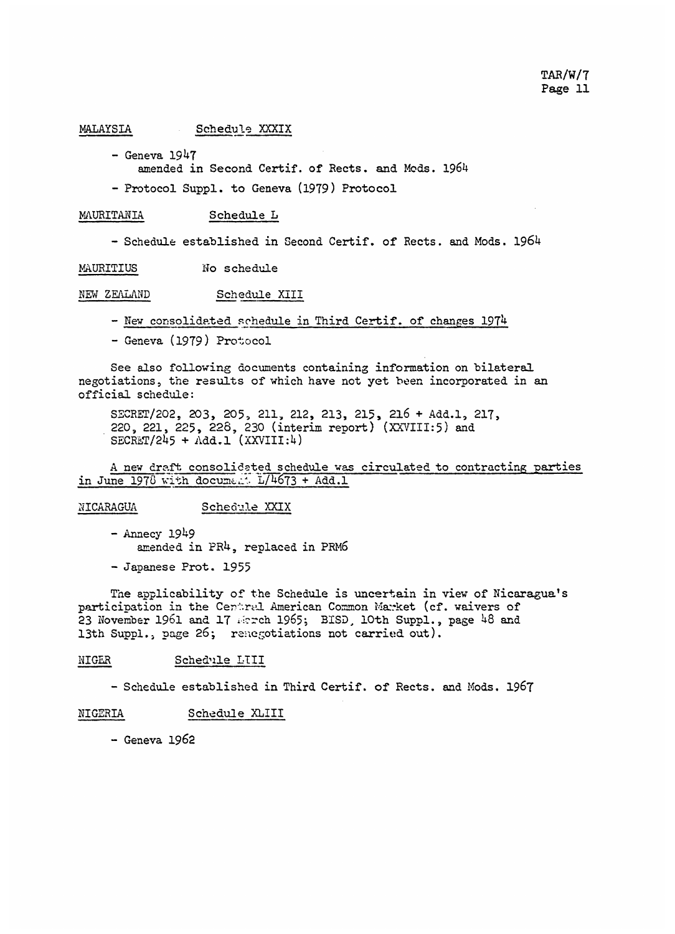#### MALAYSIA Schedule XXXIX

- Geneva 1947

amended in Second Certif. of Rects. and Mods. 1964

- Protocol Suppl. to Geneva (1979) Protocol

#### MAURITANIA Schedule L

- Schedule established in Second Certif. of Rects. and Mods. 1964

MAURITIUS No schedule

NEW ZEALAND Schedule XIII

- New consolidated schedule in Third Certif. of changes 1974

- Geneva (1979) Protocol

See also following documents containing information on bilateral negotiations, the results of which have not yet been incorporated in an official schedule:

SECRET/202, 203, 205, 211, 212, 213, 215, 216 + Add.1, 217, 220, 221, 225, 228, 230 (interim report) (XXVIII:5) and  $SECRET/245 + Add.1 (XXVIII:4)$ 

A new draft consolidated schedule was circulated to contracting parties in June 1978 with document L/4673 + Add.l

### NICARAGUA Schedule XXIX

 $-$  Annecy 1949 amended in PR4, replaced in PRM6

- Japanese Prot. 1955

The applicability of the Schedule is uncertain in view of Nicaragua's participation in the Central American Common Market (cf. waivers of 23 November 1961 and 17 Merch 1965; BISD, 10th Suppl., page 48 and 13th Suppl., page 26; renegotiations not carried out).

#### NIGER Sched'l2e LIII

- Schedule established in Third Certif. of Rects. and Mods. 1967

### NI GERIA Schedule XLIII

- Geneva 1962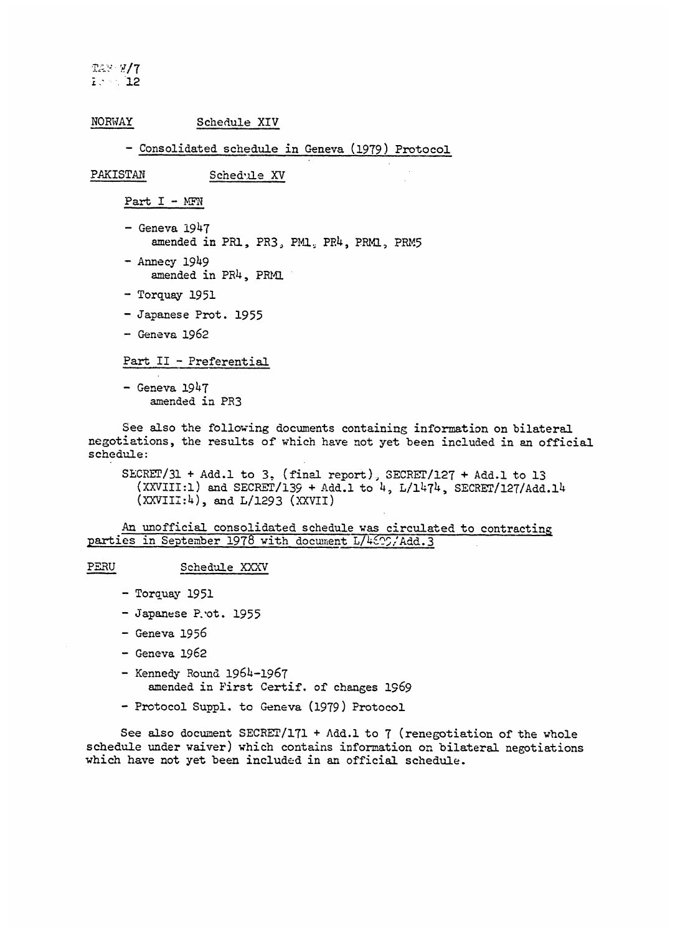!m.,/7 12 12

#### NORWAY Schedule XIV

#### - Consolidated schedule in Geneva (1979) Protocol

PAKISTAN Schedule XV

Part I - MFN

- $-$  Geneva  $1947$ amended in PR1, PR3, PM1, PR4, PRM1, PRM5
- Annecy 1949 amended in PR4, PRM1
- Torquay 1951
- Japanese Prot. 1955
- Geneva 1962

#### Part II - Preferential

- Geneva 1947 amended in PR3

See also the following documents containing information on bilateral negotiations, the results of which have not yet been included in an official schedule:

SECRET/31 + Add.l to 3. (final report), SECRET/127 + Add.1 to 13  $(XXVIII:1)$  and SECRET/139 + Add.1 to  $4$ ,  $L/1474$ , SECRET/127/Add.14  $(XXVIII:4)$ , and  $L/1293$   $(XXVII)$ 

An unofficial consolidated schedule was circulated to contracting parties in September 1978 with document L/4625,'Add.3

#### PERU Schedule XXXV

- Torquay 1951
- Japanese P. ot. 1955
- Geneva 1956
- Geneva 1962
- Kennedy Round 1964-1967 amended in First Certif. of changes 1969
- Protocol Suppl. to Geneva (1979) Protocol

See also document SECRET/171 + Add.1 to 7 (renegotiation of the whole schedule under waiver) which contains information on bilateral negotiations which have not yet been included in an official schedule.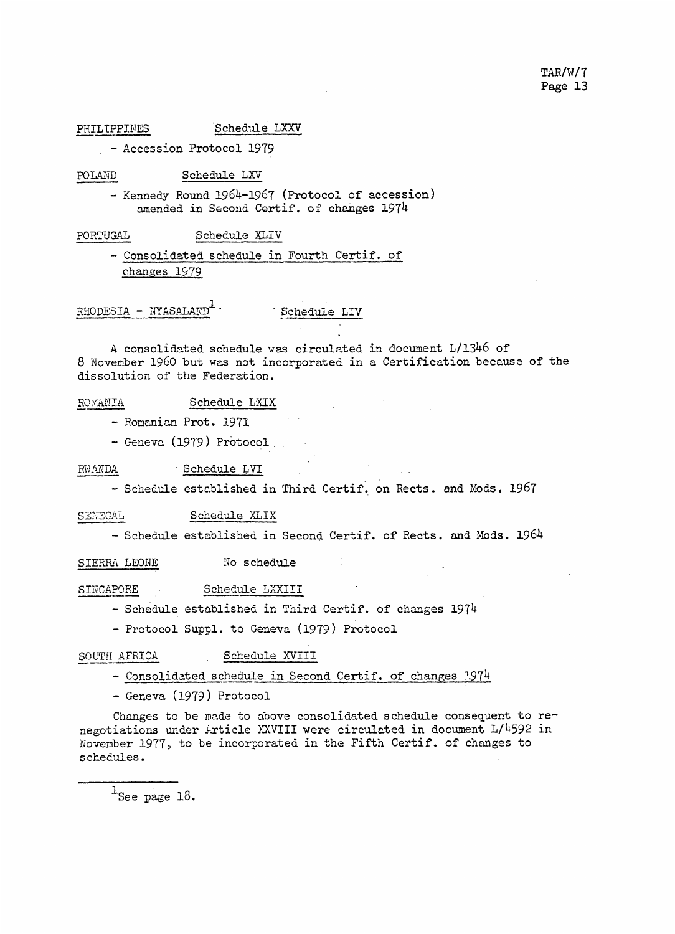PHILIPPINES Schedule LXXV

- Accession Protocol 1979

POLAND Schedule LXV

- Kennedy Round 1964-1967 (ProtocoI of accession) amended in Second Certif. of changes 1974

PORTUGAL Schedule XLIV

- Consolidated schedule in Fourth Certif. of changes 1979

 $RHODESIA - NYASALAND<sup>+</sup>$  Schedule LIV

A consolidated schedule was circulated in document L/1346 of 8 November 1960 but was not incorporated in a Certification because of the dissolution of the Federation.

ROMANIA Schedule LXIX

- Romanian Prot. 1971
- Geneva (19'9) Protocol

RWANDA Schedule LVI

- Schedule established in Third Certif. on Rects. and Mods. 1967

SENEGAL Schedule XLIX

- Schedule established in Second Certif. of Rects. and Mods. 1964

SIERRA LEONE No schedule

SINGAPORE Schedule LXXIII

- Schedule established in Third Certif. of changes 1974

- Protocol Suppl. to Geneva (1979) Protocol

SOUTH AFRICA Schedule XVIII

- Consolidated schedule in Second Certif. of changes '.974

- Geneva (1979) Protocol

Changes to be made to above consolidated schedule consequent to  $re$ negotiations under Article XXVIII were circulated in document L/4592 in November 1977, to be incorporated in the Fifth Certif. of changes to schedules.

 $^1$ See page 18.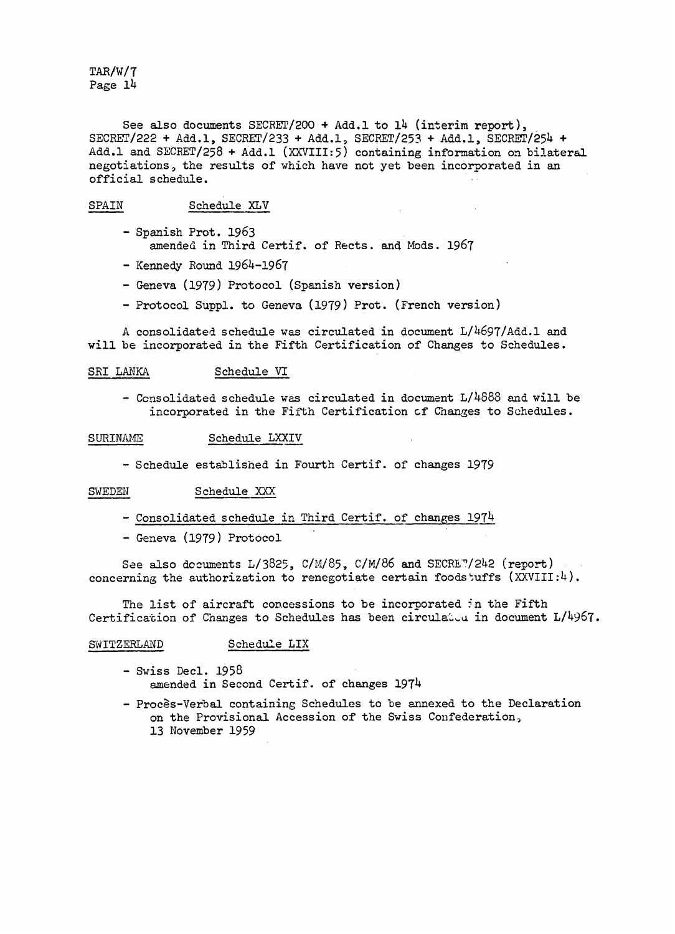See also documents SECRET/200 + Add.1 to 14 (interim report), SECRET/222 + Add.l, SECRET/233 + Add.1, SECRET/253 + Add.l, SECRET/254 + Add.l and SECRET/258 + Add.1 (XXVIII:5) containing information on bilateral negotiations, the results of which have not yet been incorporated in an official schedule.

#### SPAIN Schedule XLV

- Spanish Prot. 1963 amended in Third Certif. of Rects. and. Mods. 1967
- Kennedy Round 1964-1967
- Geneva (1979) Protocol (Spanish version)
- Protocol Suppl. to Geneva (1979) Prot. (French version)

A consolidated schedule was circulated in document L/4697/Add.l and will be incorporated in the Fifth Certification of Changes to Schedules.

#### SRI LANKA Schedule VI

- Consolidated schedule was circulated in document  $L/4688$  and will be incorporated in the Fifth Certification cf Changes to Schedules.

#### SURINAME Schedule LXXIV

- Schedule established in Fourth Certif. of changes 1979

#### SWEDEN Schedule XXX

- Consolidated schedule in Third Certif. of changes 1974
- Geneva (1979) Protocol

See also documents  $L/3825$ ,  $C/M/85$ ,  $C/M/86$  and  $SECRE$   $7/242$  (report) concerning the authorization to renegotiate certain foodstuffs  $(XXVIII:4)$ .

The list of aircraft concessions to be incorporated in the Fifth Certification of Changes to Schedules has been circulated in document  $L/4967$ .

#### SWITZERLAND Schedule LIX

- Swiss Decl. 1958 amended in Second Certif. of changes 1974
- Proces-Verbal containing Schedules to be annexed to the Declaration on the Provisional Accession of the Swiss Confederation, 13 November 1959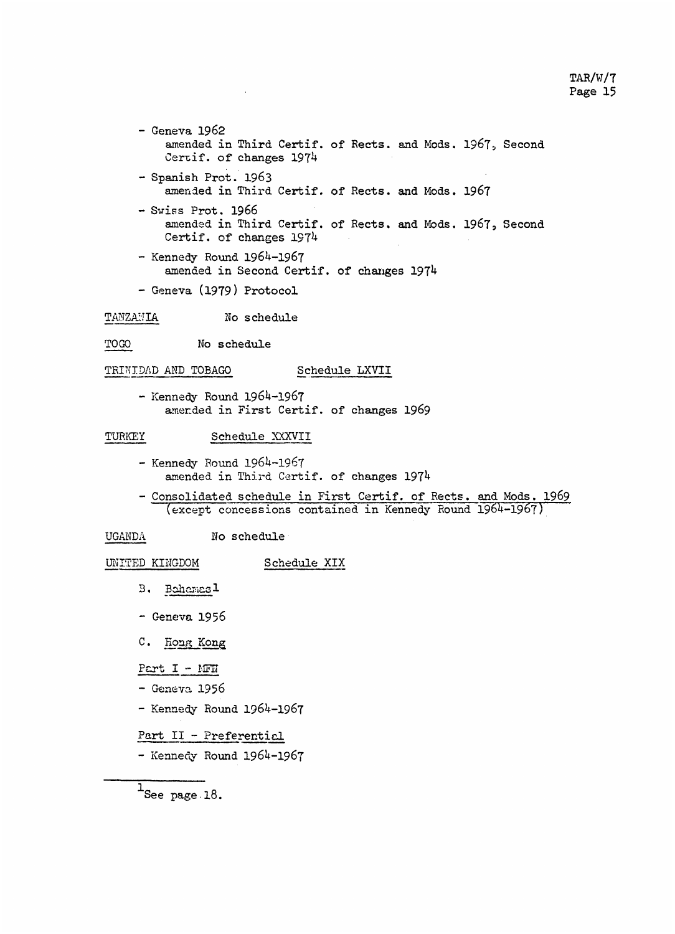- Geneva 1962 amended in Third Certif. of Rects. and Mods. 1967, Second Certif. of changes 1974 - Spanish Prot. 1963 amended in Third Certif. of Rects. and Mo as. 1967

- Swiss Prot. 1966 amended in Third Certif. of Rects. and Mods. 1967, Second Certif. of changes 1974
- Kennedy Round 1964-1967 amended in Second Certif. of changes 1974
- Geneva (1979) Protocol

# TANZANIA No schedule

TOGO No schedule schedule

#### TRINIDAD AND TOBAGO Schedule LXVII

- Kennedy Round 1964-1967 amerded in First Certif. of changes 1969

## TURKEY Schedule XXXVII

- Kennedy Round 1964-1967 amended in Third Certif. of changes 1974
- Consolidated schedule in First Certif. of Rects. and Mods. 1969 (except concessions contained in Kennedy Round 1964-1967)

UGANDA No schedule

## UNITED KINGDOM Schedule XIX

- 3B. Bahamas1
- Geneva 1956
- C. Hong Kong

Part I - MFN

- Geneva 1956
- Kennedy Round 1964-1967

## Part II - Preferential

- Kennedy Round 1964-1967

 $\overline{1}$ See page 18.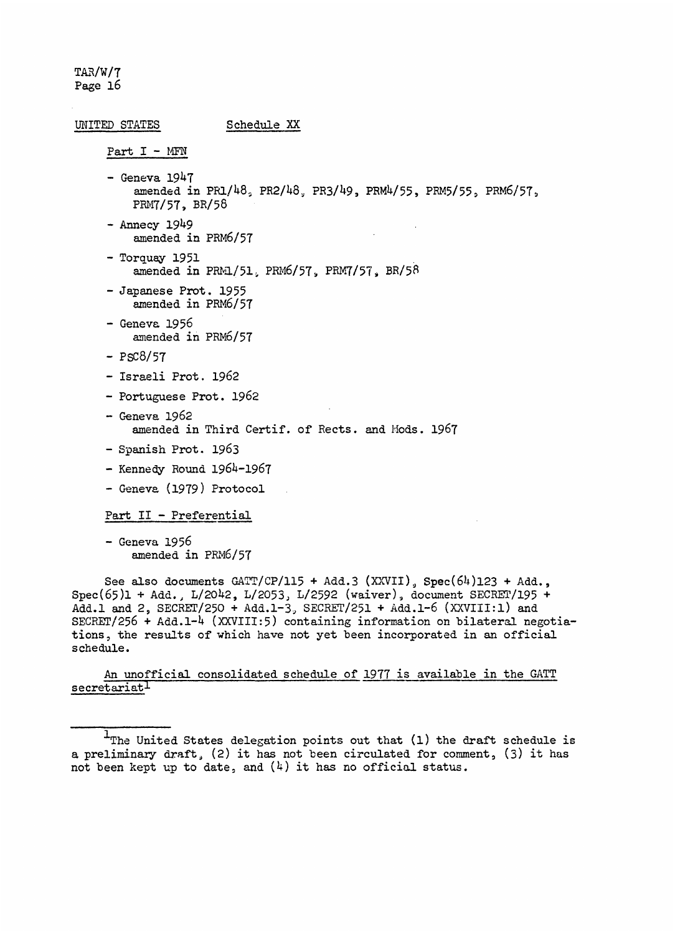## UNITED STATES Schedule XX

Part I - MFN

- $-$  Geneva 1947 amended in PR1/48, PR2/48, PR3/49, PRM4/55, PRM5/55, PRM6/57, PRM7/57, BR/58
- $-$  Annecy 1949 amended in PRM6/57
- Torquay 1951 amended in PRM1/51, PRM6/57, PRM7/57, BR/58
- Japanese Prot. 1955 amended in PRM6/57
- Geneva 1956 amended in PRM6/57
- $-$  PSC8/57
- Israeli Prot. 1962
- Portuguese Prot. 1962
- Geneva 1962 amended in Third Certif. of Rects. and Mods. 1967
- Spanish Prot. 1963
- Kennedy Round 1964-1967
- Geneva (1979) Protocol

Part II - Preferential

- Geneva 1956 amended in PRN6/57

See also documents  $GATT/CP/115 + Add.3 (XXVII)$ ,  $Spec(64)123 + Add.$ Spec(65)1 + Add., L/2042, L/2053, L/2592 (waiver), document SECRFE/195 + Add.l and 2, SECRET/250 + Add.1-3, SECRET/251 + Add.1-6 (XXVIII:l) and SECRET/256 + Add.1-4 (XXVIII:5) containing information on bilateral negotiations, the results of which have not yet been incorporated in an official schedule.

## An unofficial consolidated schedule of 1977 is available in the GATT secretariat

 $1$ The United States delegation points out that (1) the draft schedule is a preliminary draft, (2) it has not been circulated for comment, (3) it has not been kept up to date, and  $(4)$  it has no official status.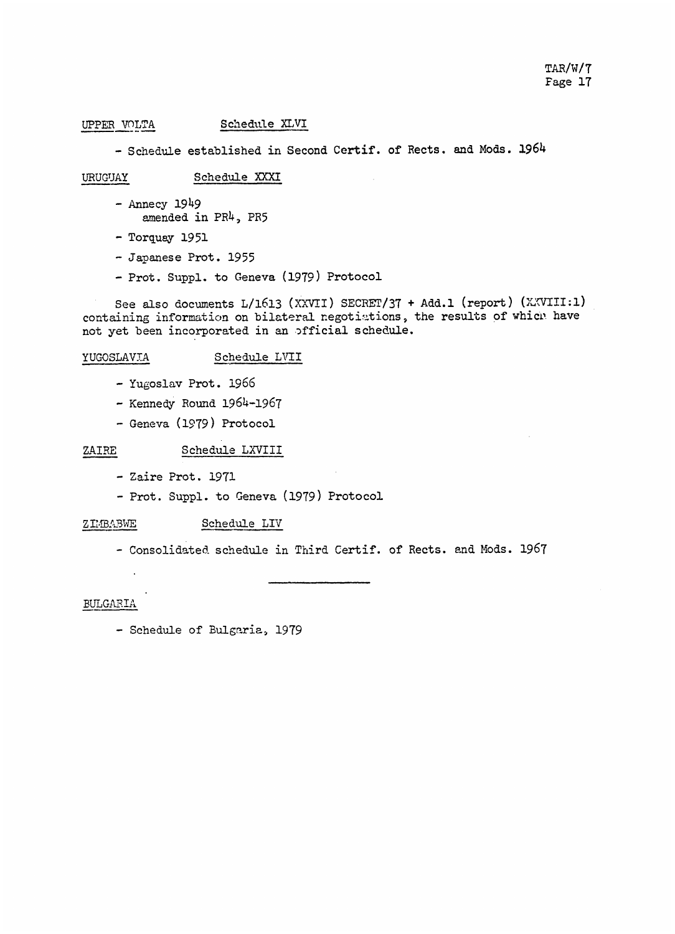## UPPER VOLTA Schedule XLVI

- Schedule established in Second Certif. of Rects. and Mods. 1964

### URUGUAY Schedule XXXI

- Annecy 1949 amended in PR4, PR5
- Torquay 1951
- Japanese Prot. 1955
- Prot. Suppl. to Geneva (1979) Protocol

See also documents L/1613 (XXVII) SECRFT/37 + Add.1 (report) (XXVIII:1) containing information on bilateral negotiations, the results of which have not yet been incorporated in an official schedule.

### YUGOSLAVIA Schedule LVII

- Yugoslav Prot. 1966
- Kennedy Round 1964-1967
- Geneva (1979) Protocol

### ZAIRE Schedule LXVIII

- Zaire Prot. 1971
- Prot. Suppl. to Geneva (1979) Protocol

## ZIMBABWE Schedule LIV

- Consolidated schedule in Third Certif. of Rects. and Mods. 1967

#### BULGARIA

- Schedule of Bulgaria, 1979